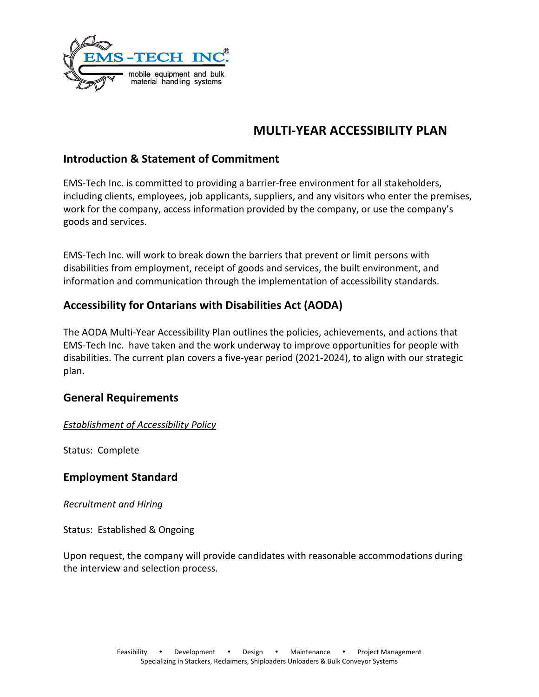

# **MULTI-YEAR ACCESSIBILITY PLAN**

# **Introduction & Statement of Commitment**

EMS-Tech Inc. is committed to providing a barrier-free environment for all stakeholders, including clients, employees, job applicants, suppliers, and any visitors who enter the premises, work for the company, access information provided by the company, or use the company's goods and services.

EMS-Tech Inc. will work to break down the barriers that prevent or limit persons with disabilities from employment, receipt of goods and services, the built environment, and information and communication through the implementation of accessibility standards.

# **Accessibility for Ontarians with Disabilities Act (AODA)**

The AODA Multi-Year Accessibility Plan outlines the policies, achievements, and actions that EMS-Tech Inc. have taken and the work underway to improve opportunities for people with disabilities. The current plan covers a five-year period (2021-2024), to align with our strategic plan.

# **General Requirements**

# *Establishment of Accessibility Policy*

Status: Complete

# **Employment Standard**

## *Recruitment and Hiring*

Status: Established & Ongoing

Upon request, the company will provide candidates with reasonable accommodations during the interview and selection process.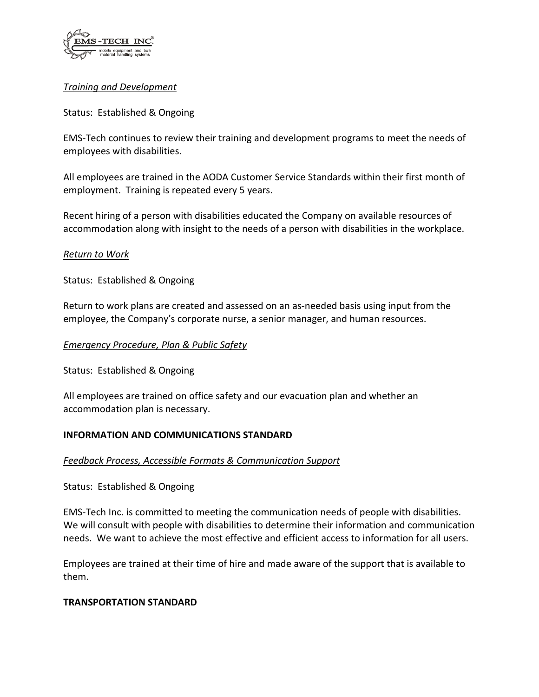

# *Training and Development*

### Status: Established & Ongoing

EMS-Tech continues to review their training and development programs to meet the needs of employees with disabilities.

All employees are trained in the AODA Customer Service Standards within their first month of employment. Training is repeated every 5 years.

Recent hiring of a person with disabilities educated the Company on available resources of accommodation along with insight to the needs of a person with disabilities in the workplace.

#### *Return to Work*

Status: Established & Ongoing

Return to work plans are created and assessed on an as-needed basis using input from the employee, the Company's corporate nurse, a senior manager, and human resources.

#### *Emergency Procedure, Plan & Public Safety*

Status: Established & Ongoing

All employees are trained on office safety and our evacuation plan and whether an accommodation plan is necessary.

## **INFORMATION AND COMMUNICATIONS STANDARD**

#### *Feedback Process, Accessible Formats & Communication Support*

Status: Established & Ongoing

EMS-Tech Inc. is committed to meeting the communication needs of people with disabilities. We will consult with people with disabilities to determine their information and communication needs. We want to achieve the most effective and efficient access to information for all users.

Employees are trained at their time of hire and made aware of the support that is available to them.

#### **TRANSPORTATION STANDARD**